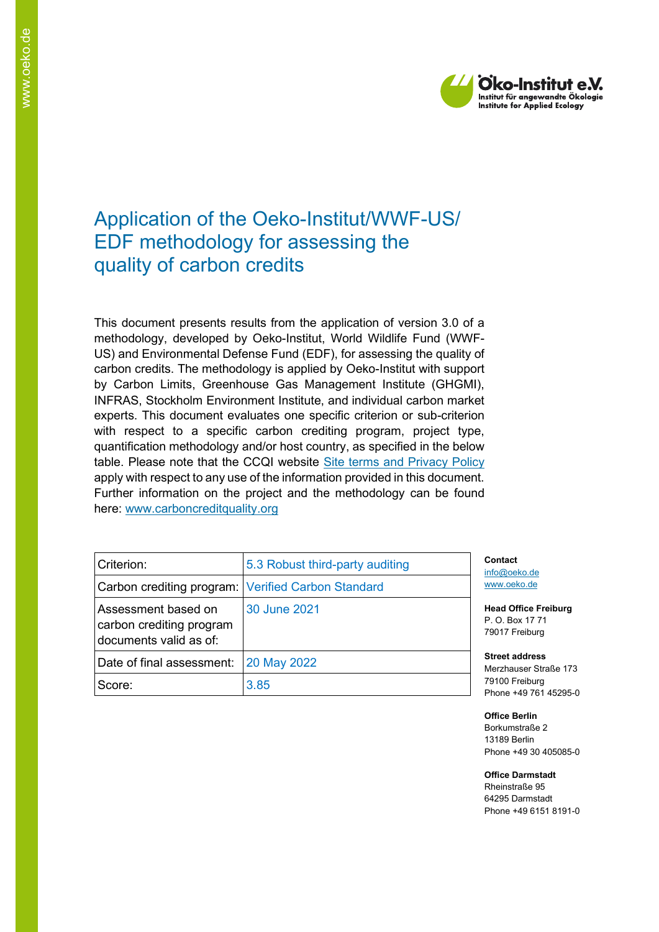

# Application of the Oeko-Institut/WWF-US/ EDF methodology for assessing the quality of carbon credits

This document presents results from the application of version 3.0 of a methodology, developed by Oeko-Institut, World Wildlife Fund (WWF-US) and Environmental Defense Fund (EDF), for assessing the quality of carbon credits. The methodology is applied by Oeko-Institut with support by Carbon Limits, Greenhouse Gas Management Institute (GHGMI), INFRAS, Stockholm Environment Institute, and individual carbon market experts. This document evaluates one specific criterion or sub-criterion with respect to a specific carbon crediting program, project type, quantification methodology and/or host country, as specified in the below table. Please note that the CCQI website [Site terms and Privacy Policy](https://carboncreditquality.org/terms.html) apply with respect to any use of the information provided in this document. Further information on the project and the methodology can be found here: [www.carboncreditquality.org](http://www.carboncreditquality.org/)

| Criterion:                                                                | 5.3 Robust third-party auditing | Cont<br>info@        |
|---------------------------------------------------------------------------|---------------------------------|----------------------|
| Carbon crediting program: Verified Carbon Standard                        |                                 | <b>WWW</b>           |
| Assessment based on<br>carbon crediting program<br>documents valid as of: | 30 June 2021                    | Head<br>P.O<br>7901  |
| Date of final assessment:                                                 | 20 May 2022                     | <b>Stree</b><br>Merz |
| Score:                                                                    | 3.85                            | 7910<br>Phor         |

**Contact** 2) oeko.de oeko.de

**Head Office Freiburg Box 17 71** 7 Freiburg

**Street address** hauser Straße 173 00 Freiburg ne +49 761 45295-0

**Office Berlin** Borkumstraße 2 13189 Berlin Phone +49 30 405085-0

**Office Darmstadt** Rheinstraße 95 64295 Darmstadt Phone +49 6151 8191-0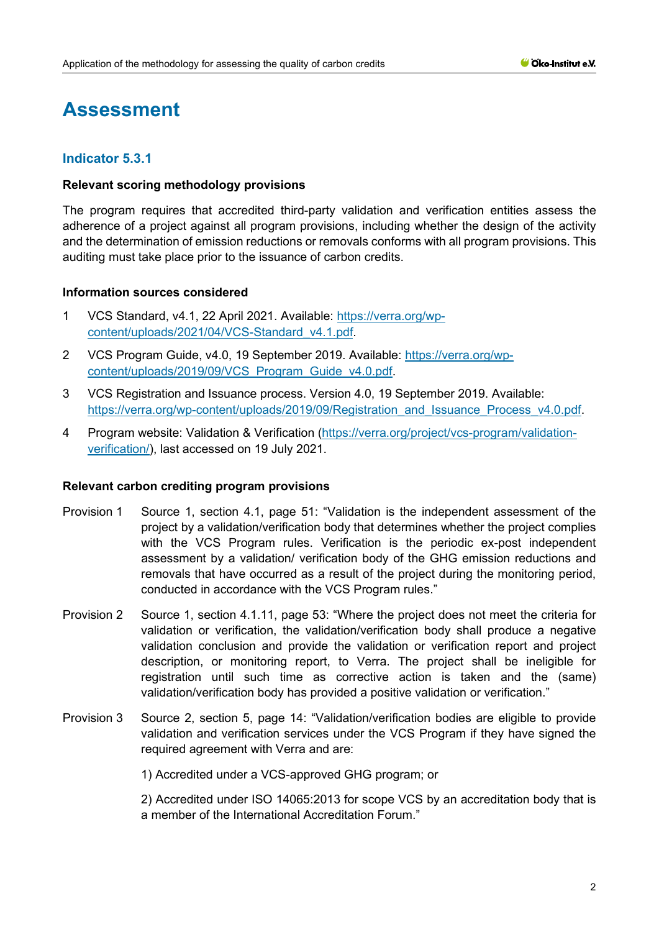# **Assessment**

## **Indicator 5.3.1**

#### **Relevant scoring methodology provisions**

The program requires that accredited third-party validation and verification entities assess the adherence of a project against all program provisions, including whether the design of the activity and the determination of emission reductions or removals conforms with all program provisions. This auditing must take place prior to the issuance of carbon credits.

#### **Information sources considered**

- 1 VCS Standard, v4.1, 22 April 2021. Available: [https://verra.org/wp](https://verra.org/wp-content/uploads/2021/04/VCS-Standard_v4.1.pdf)[content/uploads/2021/04/VCS-Standard\\_v4.1.pdf.](https://verra.org/wp-content/uploads/2021/04/VCS-Standard_v4.1.pdf)
- 2 VCS Program Guide, v4.0, 19 September 2019. Available: [https://verra.org/wp](https://verra.org/wp-content/uploads/2019/09/VCS_Program_Guide_v4.0.pdf)[content/uploads/2019/09/VCS\\_Program\\_Guide\\_v4.0.pdf.](https://verra.org/wp-content/uploads/2019/09/VCS_Program_Guide_v4.0.pdf)
- 3 VCS Registration and Issuance process. Version 4.0, 19 September 2019. Available: [https://verra.org/wp-content/uploads/2019/09/Registration\\_and\\_Issuance\\_Process\\_v4.0.pdf.](https://verra.org/wp-content/uploads/2019/09/Registration_and_Issuance_Process_v4.0.pdf)
- 4 Program website: Validation & Verification [\(https://verra.org/project/vcs-program/validation](https://verra.org/project/vcs-program/validation-verification/)[verification/\)](https://verra.org/project/vcs-program/validation-verification/), last accessed on 19 July 2021.

#### **Relevant carbon crediting program provisions**

- Provision 1 Source 1, section 4.1, page 51: "Validation is the independent assessment of the project by a validation/verification body that determines whether the project complies with the VCS Program rules. Verification is the periodic ex-post independent assessment by a validation/ verification body of the GHG emission reductions and removals that have occurred as a result of the project during the monitoring period, conducted in accordance with the VCS Program rules."
- Provision 2 Source 1, section 4.1.11, page 53: "Where the project does not meet the criteria for validation or verification, the validation/verification body shall produce a negative validation conclusion and provide the validation or verification report and project description, or monitoring report, to Verra. The project shall be ineligible for registration until such time as corrective action is taken and the (same) validation/verification body has provided a positive validation or verification."
- Provision 3 Source 2, section 5, page 14: "Validation/verification bodies are eligible to provide validation and verification services under the VCS Program if they have signed the required agreement with Verra and are:

1) Accredited under a VCS-approved GHG program; or

2) Accredited under ISO 14065:2013 for scope VCS by an accreditation body that is a member of the International Accreditation Forum."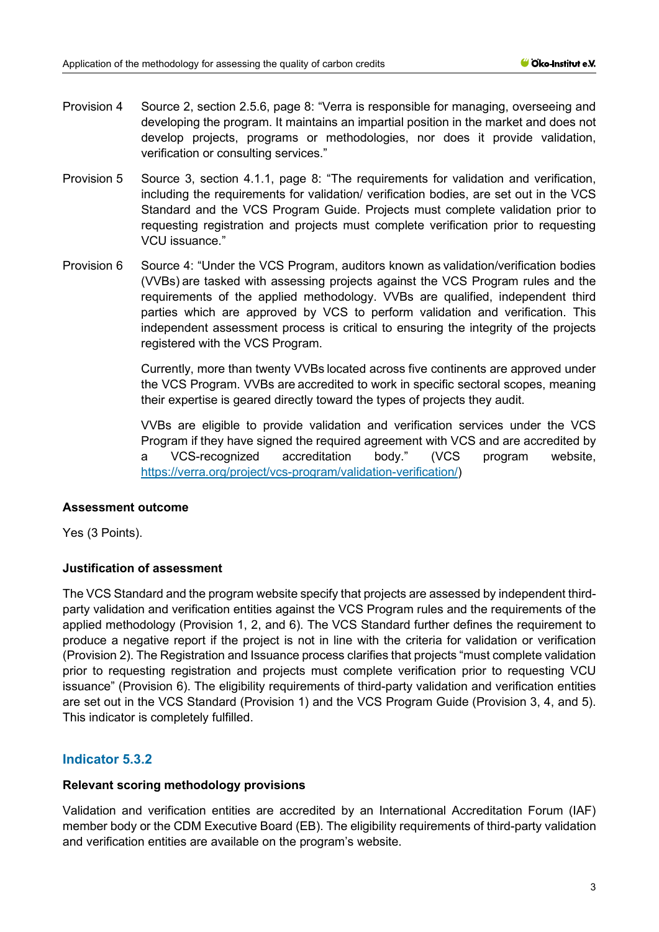- Provision 4 Source 2, section 2.5.6, page 8: "Verra is responsible for managing, overseeing and developing the program. It maintains an impartial position in the market and does not develop projects, programs or methodologies, nor does it provide validation, verification or consulting services."
- Provision 5 Source 3, section 4.1.1, page 8: "The requirements for validation and verification, including the requirements for validation/ verification bodies, are set out in the VCS Standard and the VCS Program Guide. Projects must complete validation prior to requesting registration and projects must complete verification prior to requesting VCU issuance."
- Provision 6 Source 4: "Under the VCS Program, auditors known as validation/verification bodies (VVBs) are tasked with assessing projects against the VCS Program rules and the requirements of the applied methodology. VVBs are qualified, independent third parties which are approved by VCS to perform validation and verification. This independent assessment process is critical to ensuring the integrity of the projects registered with the VCS Program.

Currently, more than twenty VVBs located across five continents are approved under the VCS Program. VVBs are accredited to work in specific sectoral scopes, meaning their expertise is geared directly toward the types of projects they audit.

VVBs are eligible to provide validation and verification services under the VCS Program if they have signed the required agreement with VCS and are accredited by a VCS-recognized accreditation body." (VCS program website, [https://verra.org/project/vcs-program/validation-verification/\)](https://verra.org/project/vcs-program/validation-verification/)

## **Assessment outcome**

Yes (3 Points).

## **Justification of assessment**

The VCS Standard and the program website specify that projects are assessed by independent thirdparty validation and verification entities against the VCS Program rules and the requirements of the applied methodology (Provision 1, 2, and 6). The VCS Standard further defines the requirement to produce a negative report if the project is not in line with the criteria for validation or verification (Provision 2). The Registration and Issuance process clarifies that projects "must complete validation prior to requesting registration and projects must complete verification prior to requesting VCU issuance" (Provision 6). The eligibility requirements of third-party validation and verification entities are set out in the VCS Standard (Provision 1) and the VCS Program Guide (Provision 3, 4, and 5). This indicator is completely fulfilled.

# **Indicator 5.3.2**

## **Relevant scoring methodology provisions**

Validation and verification entities are accredited by an International Accreditation Forum (IAF) member body or the CDM Executive Board (EB). The eligibility requirements of third-party validation and verification entities are available on the program's website.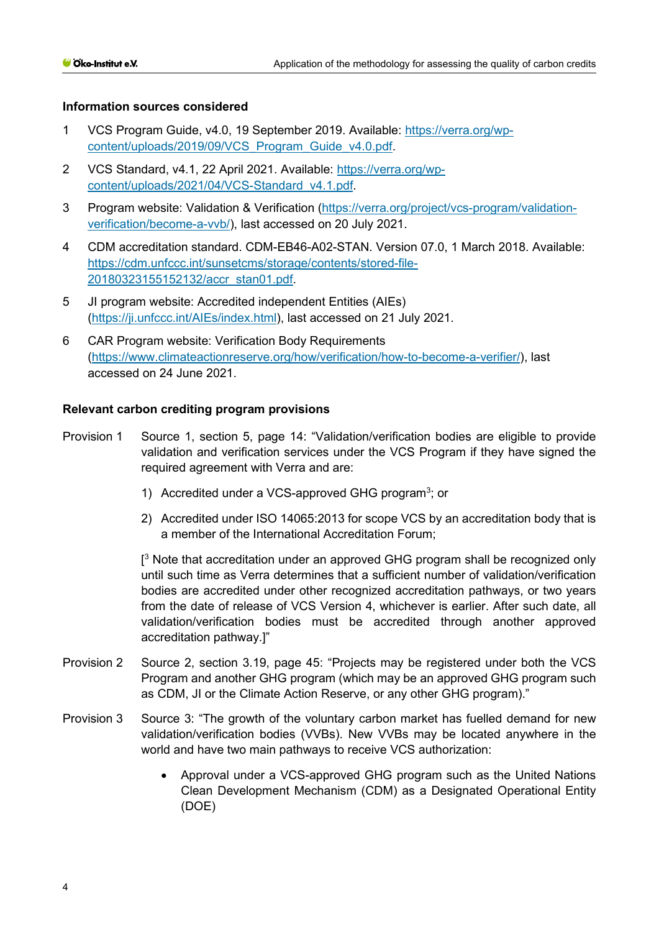#### **Information sources considered**

- 1 VCS Program Guide, v4.0, 19 September 2019. Available: [https://verra.org/wp](https://verra.org/wp-content/uploads/2019/09/VCS_Program_Guide_v4.0.pdf)[content/uploads/2019/09/VCS\\_Program\\_Guide\\_v4.0.pdf.](https://verra.org/wp-content/uploads/2019/09/VCS_Program_Guide_v4.0.pdf)
- 2 VCS Standard, v4.1, 22 April 2021. Available: [https://verra.org/wp](https://verra.org/wp-content/uploads/2021/04/VCS-Standard_v4.1.pdf)[content/uploads/2021/04/VCS-Standard\\_v4.1.pdf.](https://verra.org/wp-content/uploads/2021/04/VCS-Standard_v4.1.pdf)
- 3 Program website: Validation & Verification [\(https://verra.org/project/vcs-program/validation](https://verra.org/project/vcs-program/validation-verification/become-a-vvb/)[verification/become-a-vvb/\)](https://verra.org/project/vcs-program/validation-verification/become-a-vvb/), last accessed on 20 July 2021.
- 4 CDM accreditation standard. CDM-EB46-A02-STAN. Version 07.0, 1 March 2018. Available: [https://cdm.unfccc.int/sunsetcms/storage/contents/stored-file-](https://cdm.unfccc.int/sunsetcms/storage/contents/stored-file-20180323155152132/accr_stan01.pdf)[20180323155152132/accr\\_stan01.pdf.](https://cdm.unfccc.int/sunsetcms/storage/contents/stored-file-20180323155152132/accr_stan01.pdf)
- 5 JI program website: Accredited independent Entities (AIEs) [\(https://ji.unfccc.int/AIEs/index.html\)](https://ji.unfccc.int/AIEs/index.html), last accessed on 21 July 2021.
- 6 CAR Program website: Verification Body Requirements [\(https://www.climateactionreserve.org/how/verification/how-to-become-a-verifier/\)](https://www.climateactionreserve.org/how/verification/how-to-become-a-verifier/), last accessed on 24 June 2021.

## **Relevant carbon crediting program provisions**

- Provision 1 Source 1, section 5, page 14: "Validation/verification bodies are eligible to provide validation and verification services under the VCS Program if they have signed the required agreement with Verra and are:
	- 1) Accredited under a VCS-approved GHG program<sup>3</sup>; or
	- 2) Accredited under ISO 14065:2013 for scope VCS by an accreditation body that is a member of the International Accreditation Forum;

 $[3]$  Note that accreditation under an approved GHG program shall be recognized only until such time as Verra determines that a sufficient number of validation/verification bodies are accredited under other recognized accreditation pathways, or two years from the date of release of VCS Version 4, whichever is earlier. After such date, all validation/verification bodies must be accredited through another approved accreditation pathway.]"

- Provision 2 Source 2, section 3.19, page 45: "Projects may be registered under both the VCS Program and another GHG program (which may be an approved GHG program such as CDM, JI or the Climate Action Reserve, or any other GHG program)."
- Provision 3 Source 3: "The growth of the voluntary carbon market has fuelled demand for new validation/verification bodies (VVBs). New VVBs may be located anywhere in the world and have two main pathways to receive VCS authorization:
	- Approval under a VCS-approved GHG program such as the United Nations Clean Development Mechanism (CDM) as a Designated Operational Entity (DOE)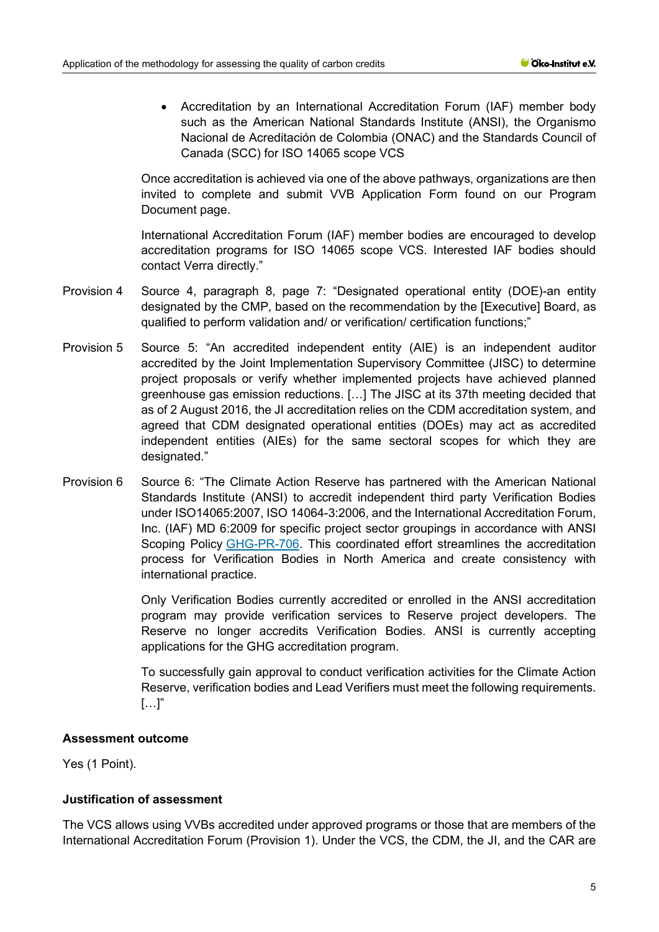• Accreditation by an International Accreditation Forum (IAF) member body such as the American National Standards Institute (ANSI), the Organismo Nacional de Acreditación de Colombia (ONAC) and the Standards Council of Canada (SCC) for ISO 14065 scope VCS

Once accreditation is achieved via one of the above pathways, organizations are then invited to complete and submit VVB Application Form found on our Program Document page.

International Accreditation Forum (IAF) member bodies are encouraged to develop accreditation programs for ISO 14065 scope VCS. Interested IAF bodies should contact Verra directly."

- Provision 4 Source 4, paragraph 8, page 7: "Designated operational entity (DOE)-an entity designated by the CMP, based on the recommendation by the [Executive] Board, as qualified to perform validation and/ or verification/ certification functions;"
- Provision 5 Source 5: "An accredited independent entity (AIE) is an independent auditor accredited by the Joint Implementation Supervisory Committee (JISC) to determine project proposals or verify whether implemented projects have achieved planned greenhouse gas emission reductions. […] The JISC at its 37th meeting decided that as of 2 August 2016, the JI accreditation relies on the CDM accreditation system, and agreed that CDM designated operational entities (DOEs) may act as accredited independent entities (AIEs) for the same sectoral scopes for which they are designated."
- Provision 6 Source 6: "The Climate Action Reserve has partnered with the American National Standards Institute (ANSI) to accredit independent third party Verification Bodies under ISO14065:2007, ISO 14064-3:2006, and the International Accreditation Forum, Inc. (IAF) MD 6:2009 for specific project sector groupings in accordance with ANSI Scoping Policy [GHG-PR-706.](https://www.ansica.org/wwwversion2/outside/ALLviewDoc.asp?dorID=234&menuID=200#doc8745) This coordinated effort streamlines the accreditation process for Verification Bodies in North America and create consistency with international practice.

Only Verification Bodies currently accredited or enrolled in the ANSI accreditation program may provide verification services to Reserve project developers. The Reserve no longer accredits Verification Bodies. ANSI is currently accepting applications for the GHG accreditation program.

To successfully gain approval to conduct verification activities for the Climate Action Reserve, verification bodies and Lead Verifiers must meet the following requirements.  $[\ldots]$ "

## **Assessment outcome**

Yes (1 Point).

## **Justification of assessment**

The VCS allows using VVBs accredited under approved programs or those that are members of the International Accreditation Forum (Provision 1). Under the VCS, the CDM, the JI, and the CAR are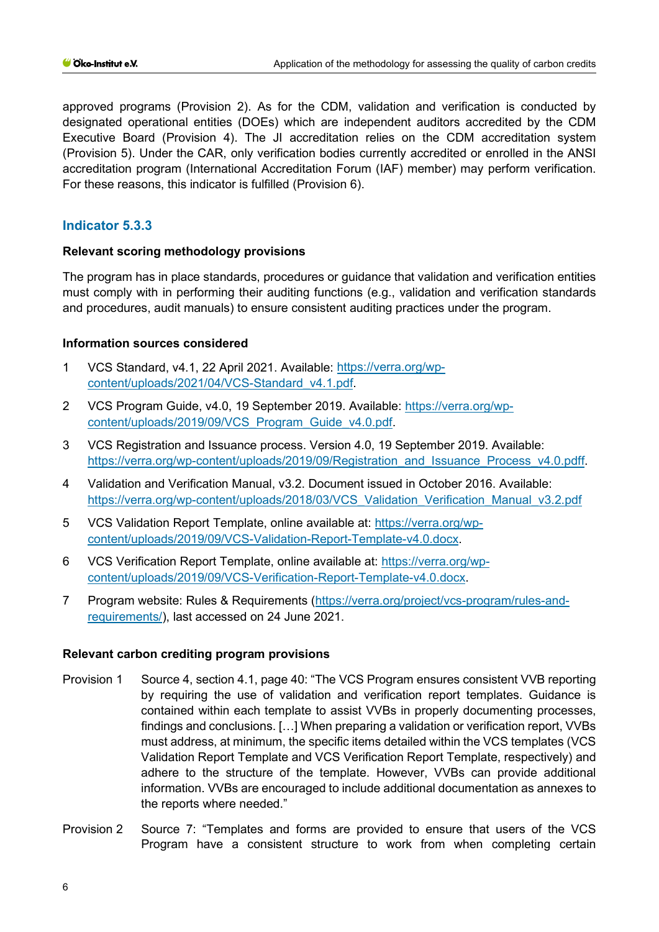approved programs (Provision 2). As for the CDM, validation and verification is conducted by designated operational entities (DOEs) which are independent auditors accredited by the CDM Executive Board (Provision 4). The JI accreditation relies on the CDM accreditation system (Provision 5). Under the CAR, only verification bodies currently accredited or enrolled in the ANSI accreditation program (International Accreditation Forum (IAF) member) may perform verification. For these reasons, this indicator is fulfilled (Provision 6).

# **Indicator 5.3.3**

## **Relevant scoring methodology provisions**

The program has in place standards, procedures or guidance that validation and verification entities must comply with in performing their auditing functions (e.g., validation and verification standards and procedures, audit manuals) to ensure consistent auditing practices under the program.

## **Information sources considered**

- 1 VCS Standard, v4.1, 22 April 2021. Available: [https://verra.org/wp](https://verra.org/wp-content/uploads/2021/04/VCS-Standard_v4.1.pdf)[content/uploads/2021/04/VCS-Standard\\_v4.1.pdf.](https://verra.org/wp-content/uploads/2021/04/VCS-Standard_v4.1.pdf)
- 2 VCS Program Guide, v4.0, 19 September 2019. Available: [https://verra.org/wp](https://verra.org/wp-content/uploads/2019/09/VCS_Program_Guide_v4.0.pdf)[content/uploads/2019/09/VCS\\_Program\\_Guide\\_v4.0.pdf.](https://verra.org/wp-content/uploads/2019/09/VCS_Program_Guide_v4.0.pdf)
- 3 VCS Registration and Issuance process. Version 4.0, 19 September 2019. Available: https://verra.org/wp-content/uploads/2019/09/Registration\_and\_Issuance\_Process\_v4.0.pdff.
- 4 Validation and Verification Manual, v3.2. Document issued in October 2016. Available: [https://verra.org/wp-content/uploads/2018/03/VCS\\_Validation\\_Verification\\_Manual\\_v3.2.pdf](https://verra.org/wp-content/uploads/2018/03/VCS_Validation_Verification_Manual_v3.2.pdf)
- 5 VCS Validation Report Template, online available at: [https://verra.org/wp](https://verra.org/wp-content/uploads/2019/09/VCS-Validation-Report-Template-v4.0.docx)[content/uploads/2019/09/VCS-Validation-Report-Template-v4.0.docx.](https://verra.org/wp-content/uploads/2019/09/VCS-Validation-Report-Template-v4.0.docx)
- 6 VCS Verification Report Template, online available at: [https://verra.org/wp](https://verra.org/wp-content/uploads/2019/09/VCS-Verification-Report-Template-v4.0.docx)[content/uploads/2019/09/VCS-Verification-Report-Template-v4.0.docx.](https://verra.org/wp-content/uploads/2019/09/VCS-Verification-Report-Template-v4.0.docx)
- 7 Program website: Rules & Requirements [\(https://verra.org/project/vcs-program/rules-and](https://verra.org/project/vcs-program/rules-and-requirements/)[requirements/\)](https://verra.org/project/vcs-program/rules-and-requirements/), last accessed on 24 June 2021.

## **Relevant carbon crediting program provisions**

- Provision 1 Source 4, section 4.1, page 40: "The VCS Program ensures consistent VVB reporting by requiring the use of validation and verification report templates. Guidance is contained within each template to assist VVBs in properly documenting processes, findings and conclusions. […] When preparing a validation or verification report, VVBs must address, at minimum, the specific items detailed within the VCS templates (VCS Validation Report Template and VCS Verification Report Template, respectively) and adhere to the structure of the template. However, VVBs can provide additional information. VVBs are encouraged to include additional documentation as annexes to the reports where needed."
- Provision 2 Source 7: "Templates and forms are provided to ensure that users of the VCS Program have a consistent structure to work from when completing certain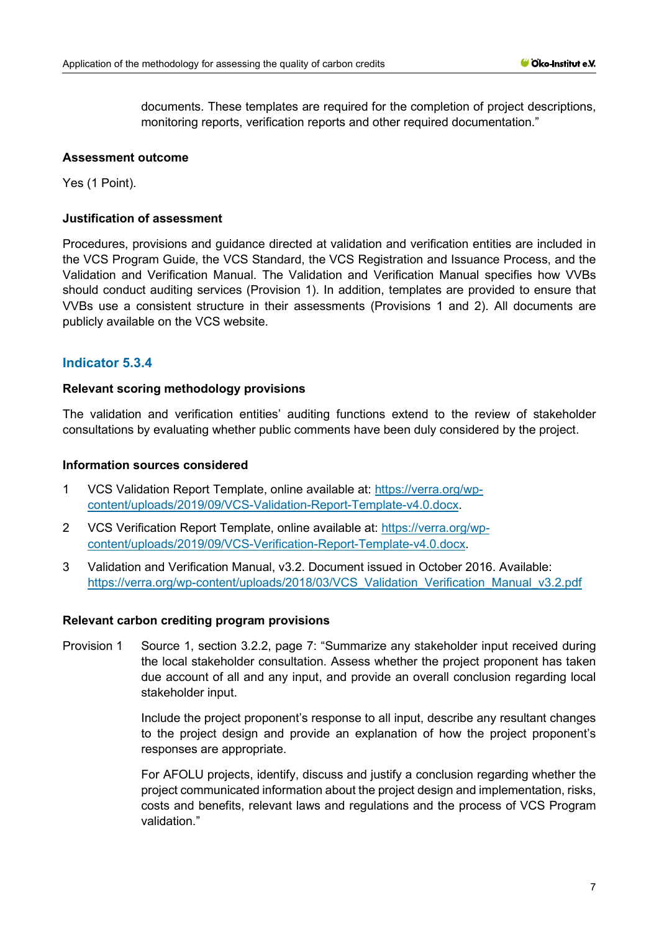documents. These templates are required for the completion of project descriptions, monitoring reports, verification reports and other required documentation."

#### **Assessment outcome**

Yes (1 Point).

#### **Justification of assessment**

Procedures, provisions and guidance directed at validation and verification entities are included in the VCS Program Guide, the VCS Standard, the VCS Registration and Issuance Process, and the Validation and Verification Manual. The Validation and Verification Manual specifies how VVBs should conduct auditing services (Provision 1). In addition, templates are provided to ensure that VVBs use a consistent structure in their assessments (Provisions 1 and 2). All documents are publicly available on the VCS website.

## **Indicator 5.3.4**

#### **Relevant scoring methodology provisions**

The validation and verification entities' auditing functions extend to the review of stakeholder consultations by evaluating whether public comments have been duly considered by the project.

#### **Information sources considered**

- 1 VCS Validation Report Template, online available at: [https://verra.org/wp](https://verra.org/wp-content/uploads/2019/09/VCS-Validation-Report-Template-v4.0.docx)[content/uploads/2019/09/VCS-Validation-Report-Template-v4.0.docx.](https://verra.org/wp-content/uploads/2019/09/VCS-Validation-Report-Template-v4.0.docx)
- 2 VCS Verification Report Template, online available at: [https://verra.org/wp](https://verra.org/wp-content/uploads/2019/09/VCS-Verification-Report-Template-v4.0.docx)[content/uploads/2019/09/VCS-Verification-Report-Template-v4.0.docx.](https://verra.org/wp-content/uploads/2019/09/VCS-Verification-Report-Template-v4.0.docx)
- 3 Validation and Verification Manual, v3.2. Document issued in October 2016. Available: [https://verra.org/wp-content/uploads/2018/03/VCS\\_Validation\\_Verification\\_Manual\\_v3.2.pdf](https://verra.org/wp-content/uploads/2018/03/VCS_Validation_Verification_Manual_v3.2.pdf)

#### **Relevant carbon crediting program provisions**

Provision 1 Source 1, section 3.2.2, page 7: "Summarize any stakeholder input received during the local stakeholder consultation. Assess whether the project proponent has taken due account of all and any input, and provide an overall conclusion regarding local stakeholder input.

> Include the project proponent's response to all input, describe any resultant changes to the project design and provide an explanation of how the project proponent's responses are appropriate.

> For AFOLU projects, identify, discuss and justify a conclusion regarding whether the project communicated information about the project design and implementation, risks, costs and benefits, relevant laws and regulations and the process of VCS Program validation."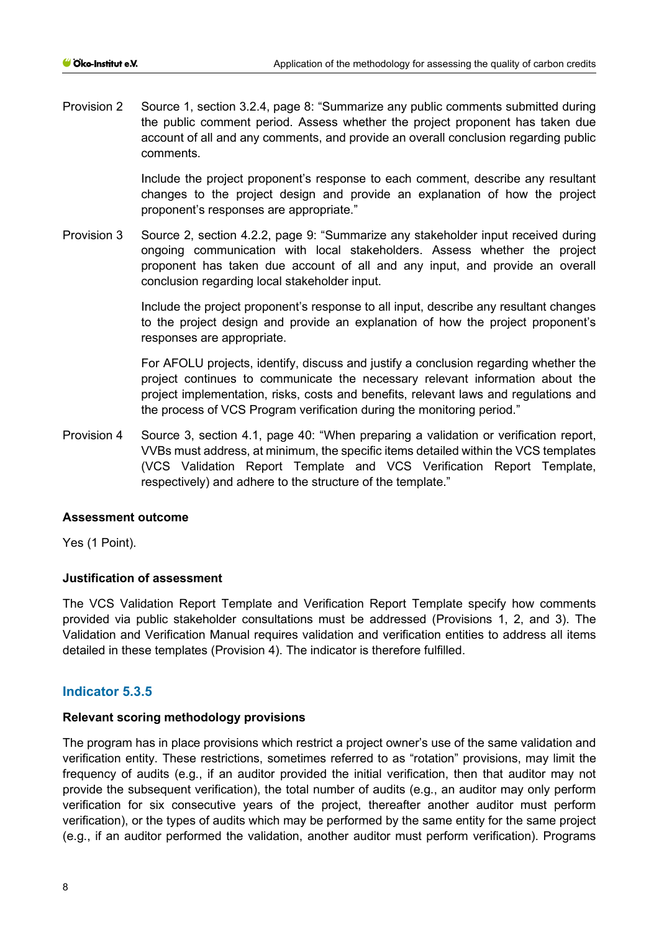Provision 2 Source 1, section 3.2.4, page 8: "Summarize any public comments submitted during the public comment period. Assess whether the project proponent has taken due account of all and any comments, and provide an overall conclusion regarding public comments.

> Include the project proponent's response to each comment, describe any resultant changes to the project design and provide an explanation of how the project proponent's responses are appropriate."

Provision 3 Source 2, section 4.2.2, page 9: "Summarize any stakeholder input received during ongoing communication with local stakeholders. Assess whether the project proponent has taken due account of all and any input, and provide an overall conclusion regarding local stakeholder input.

> Include the project proponent's response to all input, describe any resultant changes to the project design and provide an explanation of how the project proponent's responses are appropriate.

> For AFOLU projects, identify, discuss and justify a conclusion regarding whether the project continues to communicate the necessary relevant information about the project implementation, risks, costs and benefits, relevant laws and regulations and the process of VCS Program verification during the monitoring period."

Provision 4 Source 3, section 4.1, page 40: "When preparing a validation or verification report, VVBs must address, at minimum, the specific items detailed within the VCS templates (VCS Validation Report Template and VCS Verification Report Template, respectively) and adhere to the structure of the template."

## **Assessment outcome**

Yes (1 Point).

#### **Justification of assessment**

The VCS Validation Report Template and Verification Report Template specify how comments provided via public stakeholder consultations must be addressed (Provisions 1, 2, and 3). The Validation and Verification Manual requires validation and verification entities to address all items detailed in these templates (Provision 4). The indicator is therefore fulfilled.

## **Indicator 5.3.5**

#### **Relevant scoring methodology provisions**

The program has in place provisions which restrict a project owner's use of the same validation and verification entity. These restrictions, sometimes referred to as "rotation" provisions, may limit the frequency of audits (e.g., if an auditor provided the initial verification, then that auditor may not provide the subsequent verification), the total number of audits (e.g., an auditor may only perform verification for six consecutive years of the project, thereafter another auditor must perform verification), or the types of audits which may be performed by the same entity for the same project (e.g., if an auditor performed the validation, another auditor must perform verification). Programs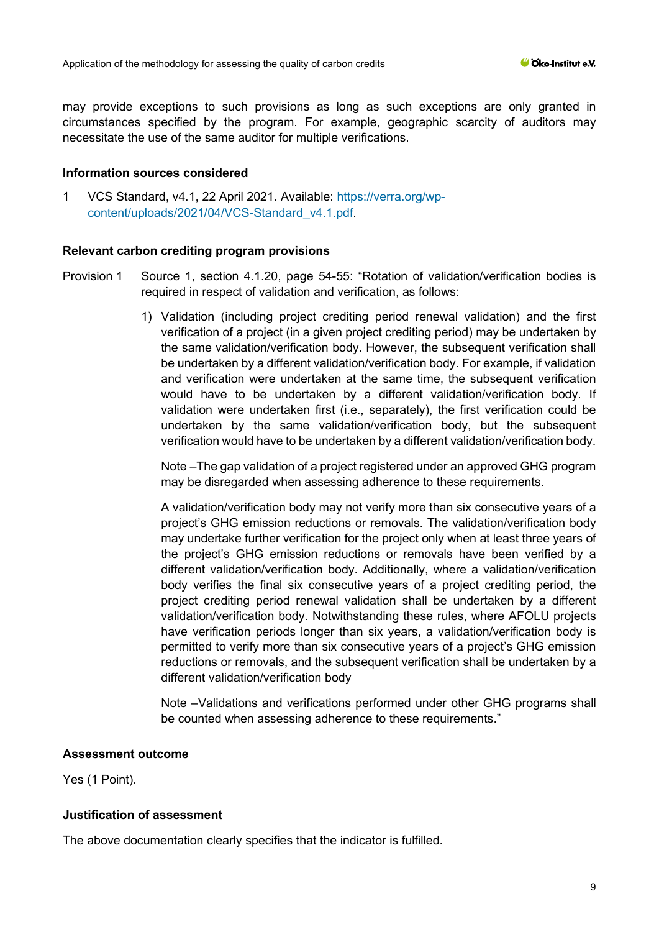may provide exceptions to such provisions as long as such exceptions are only granted in circumstances specified by the program. For example, geographic scarcity of auditors may necessitate the use of the same auditor for multiple verifications.

#### **Information sources considered**

1 VCS Standard, v4.1, 22 April 2021. Available: [https://verra.org/wp](https://verra.org/wp-content/uploads/2021/04/VCS-Standard_v4.1.pdf)[content/uploads/2021/04/VCS-Standard\\_v4.1.pdf.](https://verra.org/wp-content/uploads/2021/04/VCS-Standard_v4.1.pdf)

#### **Relevant carbon crediting program provisions**

- Provision 1 Source 1, section 4.1.20, page 54-55: "Rotation of validation/verification bodies is required in respect of validation and verification, as follows:
	- 1) Validation (including project crediting period renewal validation) and the first verification of a project (in a given project crediting period) may be undertaken by the same validation/verification body. However, the subsequent verification shall be undertaken by a different validation/verification body. For example, if validation and verification were undertaken at the same time, the subsequent verification would have to be undertaken by a different validation/verification body. If validation were undertaken first (i.e., separately), the first verification could be undertaken by the same validation/verification body, but the subsequent verification would have to be undertaken by a different validation/verification body.

Note –The gap validation of a project registered under an approved GHG program may be disregarded when assessing adherence to these requirements.

A validation/verification body may not verify more than six consecutive years of a project's GHG emission reductions or removals. The validation/verification body may undertake further verification for the project only when at least three years of the project's GHG emission reductions or removals have been verified by a different validation/verification body. Additionally, where a validation/verification body verifies the final six consecutive years of a project crediting period, the project crediting period renewal validation shall be undertaken by a different validation/verification body. Notwithstanding these rules, where AFOLU projects have verification periods longer than six years, a validation/verification body is permitted to verify more than six consecutive years of a project's GHG emission reductions or removals, and the subsequent verification shall be undertaken by a different validation/verification body

Note –Validations and verifications performed under other GHG programs shall be counted when assessing adherence to these requirements."

#### **Assessment outcome**

Yes (1 Point).

## **Justification of assessment**

The above documentation clearly specifies that the indicator is fulfilled.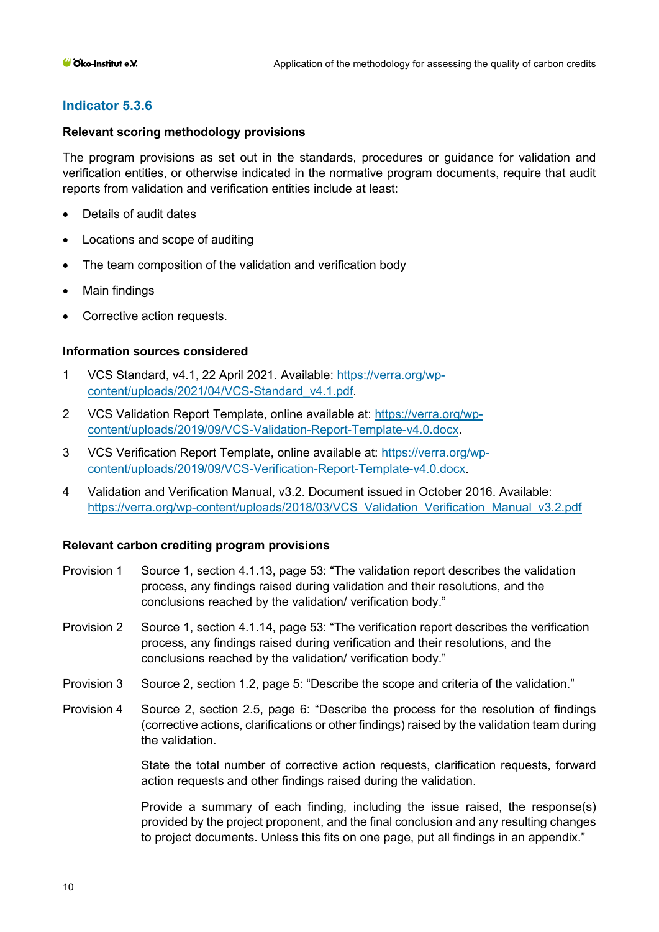## **Indicator 5.3.6**

#### **Relevant scoring methodology provisions**

The program provisions as set out in the standards, procedures or guidance for validation and verification entities, or otherwise indicated in the normative program documents, require that audit reports from validation and verification entities include at least:

- Details of audit dates
- Locations and scope of auditing
- The team composition of the validation and verification body
- Main findings
- Corrective action requests.

#### **Information sources considered**

- 1 VCS Standard, v4.1, 22 April 2021. Available: [https://verra.org/wp](https://verra.org/wp-content/uploads/2021/04/VCS-Standard_v4.1.pdf)[content/uploads/2021/04/VCS-Standard\\_v4.1.pdf.](https://verra.org/wp-content/uploads/2021/04/VCS-Standard_v4.1.pdf)
- 2 VCS Validation Report Template, online available at: [https://verra.org/wp](https://verra.org/wp-content/uploads/2019/09/VCS-Validation-Report-Template-v4.0.docx)[content/uploads/2019/09/VCS-Validation-Report-Template-v4.0.docx.](https://verra.org/wp-content/uploads/2019/09/VCS-Validation-Report-Template-v4.0.docx)
- 3 VCS Verification Report Template, online available at: [https://verra.org/wp](https://verra.org/wp-content/uploads/2019/09/VCS-Verification-Report-Template-v4.0.docx)[content/uploads/2019/09/VCS-Verification-Report-Template-v4.0.docx.](https://verra.org/wp-content/uploads/2019/09/VCS-Verification-Report-Template-v4.0.docx)
- 4 Validation and Verification Manual, v3.2. Document issued in October 2016. Available: https://verra.org/wp-content/uploads/2018/03/VCS Validation Verification Manual v3.2.pdf

#### **Relevant carbon crediting program provisions**

- Provision 1 Source 1, section 4.1.13, page 53: "The validation report describes the validation process, any findings raised during validation and their resolutions, and the conclusions reached by the validation/ verification body."
- Provision 2 Source 1, section 4.1.14, page 53: "The verification report describes the verification process, any findings raised during verification and their resolutions, and the conclusions reached by the validation/ verification body."
- Provision 3 Source 2, section 1.2, page 5: "Describe the scope and criteria of the validation."
- Provision 4 Source 2, section 2.5, page 6: "Describe the process for the resolution of findings (corrective actions, clarifications or other findings) raised by the validation team during the validation.

State the total number of corrective action requests, clarification requests, forward action requests and other findings raised during the validation.

Provide a summary of each finding, including the issue raised, the response(s) provided by the project proponent, and the final conclusion and any resulting changes to project documents. Unless this fits on one page, put all findings in an appendix."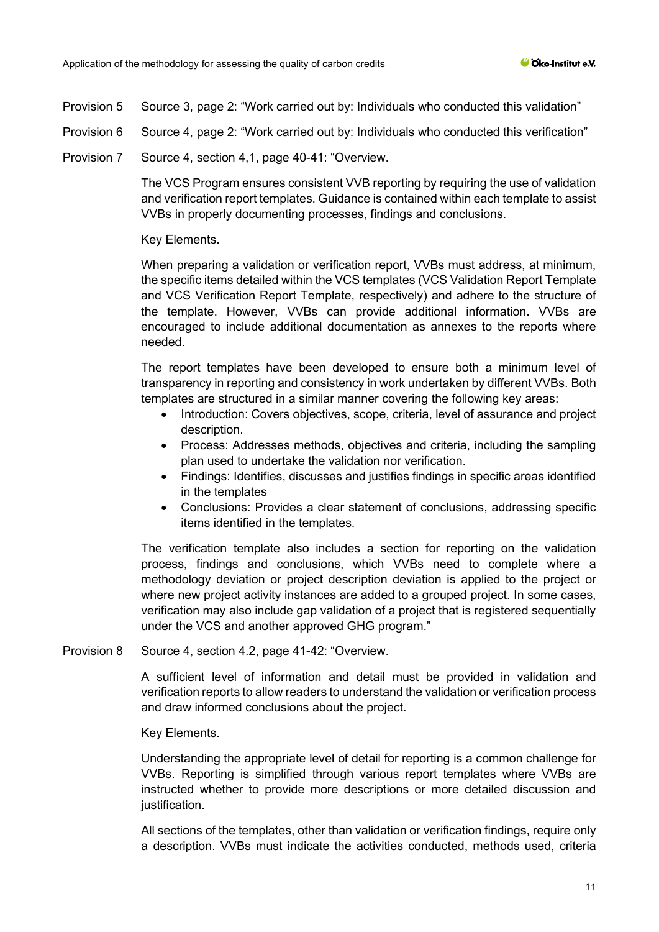Provision 5 Source 3, page 2: "Work carried out by: Individuals who conducted this validation"

Provision 6 Source 4, page 2: "Work carried out by: Individuals who conducted this verification"

Provision 7 Source 4, section 4,1, page 40-41: "Overview.

The VCS Program ensures consistent VVB reporting by requiring the use of validation and verification report templates. Guidance is contained within each template to assist VVBs in properly documenting processes, findings and conclusions.

Key Elements.

When preparing a validation or verification report, VVBs must address, at minimum, the specific items detailed within the VCS templates (VCS Validation Report Template and VCS Verification Report Template, respectively) and adhere to the structure of the template. However, VVBs can provide additional information. VVBs are encouraged to include additional documentation as annexes to the reports where needed.

The report templates have been developed to ensure both a minimum level of transparency in reporting and consistency in work undertaken by different VVBs. Both templates are structured in a similar manner covering the following key areas:

- Introduction: Covers objectives, scope, criteria, level of assurance and project description.
- Process: Addresses methods, objectives and criteria, including the sampling plan used to undertake the validation nor verification.
- Findings: Identifies, discusses and justifies findings in specific areas identified in the templates
- Conclusions: Provides a clear statement of conclusions, addressing specific items identified in the templates.

The verification template also includes a section for reporting on the validation process, findings and conclusions, which VVBs need to complete where a methodology deviation or project description deviation is applied to the project or where new project activity instances are added to a grouped project. In some cases, verification may also include gap validation of a project that is registered sequentially under the VCS and another approved GHG program."

Provision 8 Source 4, section 4.2, page 41-42: "Overview.

A sufficient level of information and detail must be provided in validation and verification reports to allow readers to understand the validation or verification process and draw informed conclusions about the project.

## Key Elements.

Understanding the appropriate level of detail for reporting is a common challenge for VVBs. Reporting is simplified through various report templates where VVBs are instructed whether to provide more descriptions or more detailed discussion and justification.

All sections of the templates, other than validation or verification findings, require only a description. VVBs must indicate the activities conducted, methods used, criteria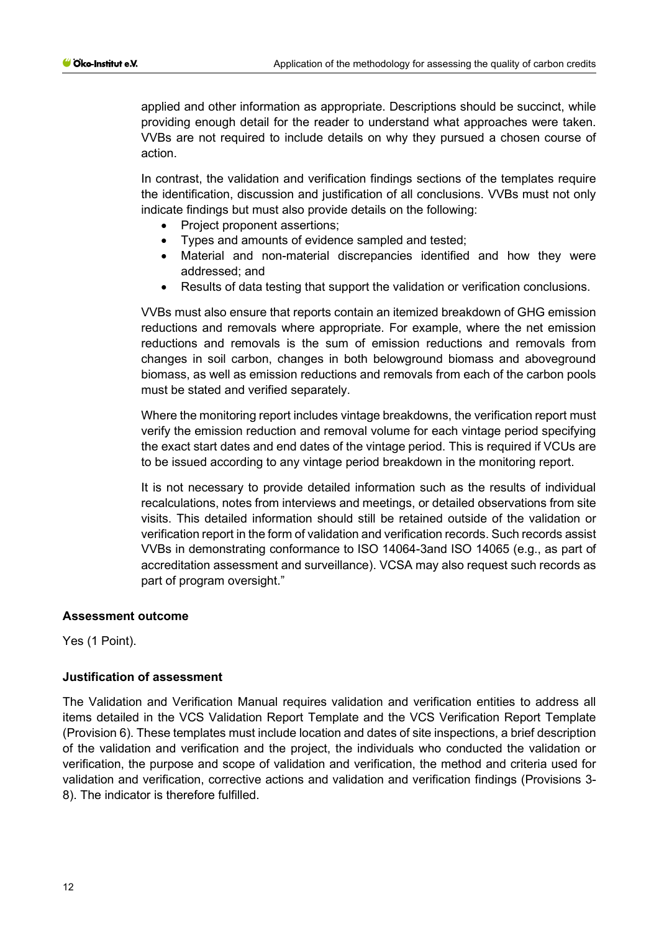applied and other information as appropriate. Descriptions should be succinct, while providing enough detail for the reader to understand what approaches were taken. VVBs are not required to include details on why they pursued a chosen course of action.

In contrast, the validation and verification findings sections of the templates require the identification, discussion and justification of all conclusions. VVBs must not only indicate findings but must also provide details on the following:

- Project proponent assertions:
- Types and amounts of evidence sampled and tested;
- Material and non-material discrepancies identified and how they were addressed; and
- Results of data testing that support the validation or verification conclusions.

VVBs must also ensure that reports contain an itemized breakdown of GHG emission reductions and removals where appropriate. For example, where the net emission reductions and removals is the sum of emission reductions and removals from changes in soil carbon, changes in both belowground biomass and aboveground biomass, as well as emission reductions and removals from each of the carbon pools must be stated and verified separately.

Where the monitoring report includes vintage breakdowns, the verification report must verify the emission reduction and removal volume for each vintage period specifying the exact start dates and end dates of the vintage period. This is required if VCUs are to be issued according to any vintage period breakdown in the monitoring report.

It is not necessary to provide detailed information such as the results of individual recalculations, notes from interviews and meetings, or detailed observations from site visits. This detailed information should still be retained outside of the validation or verification report in the form of validation and verification records. Such records assist VVBs in demonstrating conformance to ISO 14064-3and ISO 14065 (e.g., as part of accreditation assessment and surveillance). VCSA may also request such records as part of program oversight."

#### **Assessment outcome**

Yes (1 Point).

## **Justification of assessment**

The Validation and Verification Manual requires validation and verification entities to address all items detailed in the VCS Validation Report Template and the VCS Verification Report Template (Provision 6). These templates must include location and dates of site inspections, a brief description of the validation and verification and the project, the individuals who conducted the validation or verification, the purpose and scope of validation and verification, the method and criteria used for validation and verification, corrective actions and validation and verification findings (Provisions 3- 8). The indicator is therefore fulfilled.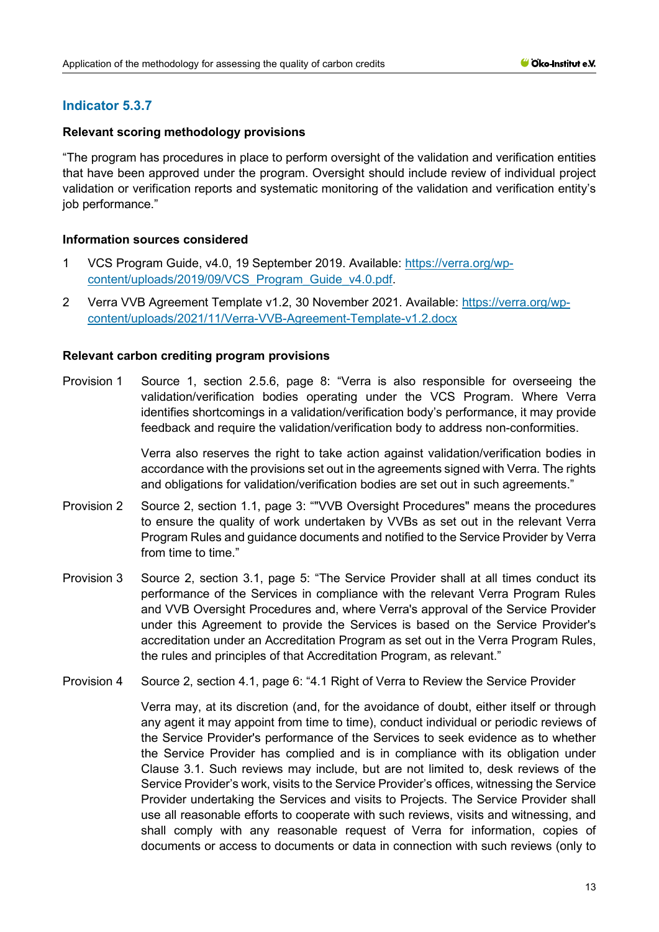# **Indicator 5.3.7**

## **Relevant scoring methodology provisions**

"The program has procedures in place to perform oversight of the validation and verification entities that have been approved under the program. Oversight should include review of individual project validation or verification reports and systematic monitoring of the validation and verification entity's job performance."

## **Information sources considered**

- 1 VCS Program Guide, v4.0, 19 September 2019. Available: [https://verra.org/wp](https://verra.org/wp-content/uploads/2019/09/VCS_Program_Guide_v4.0.pdf)[content/uploads/2019/09/VCS\\_Program\\_Guide\\_v4.0.pdf.](https://verra.org/wp-content/uploads/2019/09/VCS_Program_Guide_v4.0.pdf)
- 2 Verra VVB Agreement Template v1.2, 30 November 2021. Available: [https://verra.org/wp](https://verra.org/wp-content/uploads/2021/11/Verra-VVB-Agreement-Template-v1.2.docx)[content/uploads/2021/11/Verra-VVB-Agreement-Template-v1.2.docx](https://verra.org/wp-content/uploads/2021/11/Verra-VVB-Agreement-Template-v1.2.docx)

## **Relevant carbon crediting program provisions**

Provision 1 Source 1, section 2.5.6, page 8: "Verra is also responsible for overseeing the validation/verification bodies operating under the VCS Program. Where Verra identifies shortcomings in a validation/verification body's performance, it may provide feedback and require the validation/verification body to address non-conformities.

> Verra also reserves the right to take action against validation/verification bodies in accordance with the provisions set out in the agreements signed with Verra. The rights and obligations for validation/verification bodies are set out in such agreements."

- Provision 2 Source 2, section 1.1, page 3: ""VVB Oversight Procedures" means the procedures to ensure the quality of work undertaken by VVBs as set out in the relevant Verra Program Rules and guidance documents and notified to the Service Provider by Verra from time to time."
- Provision 3 Source 2, section 3.1, page 5: "The Service Provider shall at all times conduct its performance of the Services in compliance with the relevant Verra Program Rules and VVB Oversight Procedures and, where Verra's approval of the Service Provider under this Agreement to provide the Services is based on the Service Provider's accreditation under an Accreditation Program as set out in the Verra Program Rules, the rules and principles of that Accreditation Program, as relevant."
- Provision 4 Source 2, section 4.1, page 6: "4.1 Right of Verra to Review the Service Provider

<span id="page-12-0"></span>Verra may, at its discretion (and, for the avoidance of doubt, either itself or through any agent it may appoint from time to time), conduct individual or periodic reviews of the Service Provider's performance of the Services to seek evidence as to whether the Service Provider has complied and is in compliance with its obligation under Clause 3.1. Such reviews may include, but are not limited to, desk reviews of the Service Provider's work, visits to the Service Provider's offices, witnessing the Service Provider undertaking the Services and visits to Projects. The Service Provider shall use all reasonable efforts to cooperate with such reviews, visits and witnessing, and shall comply with any reasonable request of Verra for information, copies of documents or access to documents or data in connection with such reviews (only to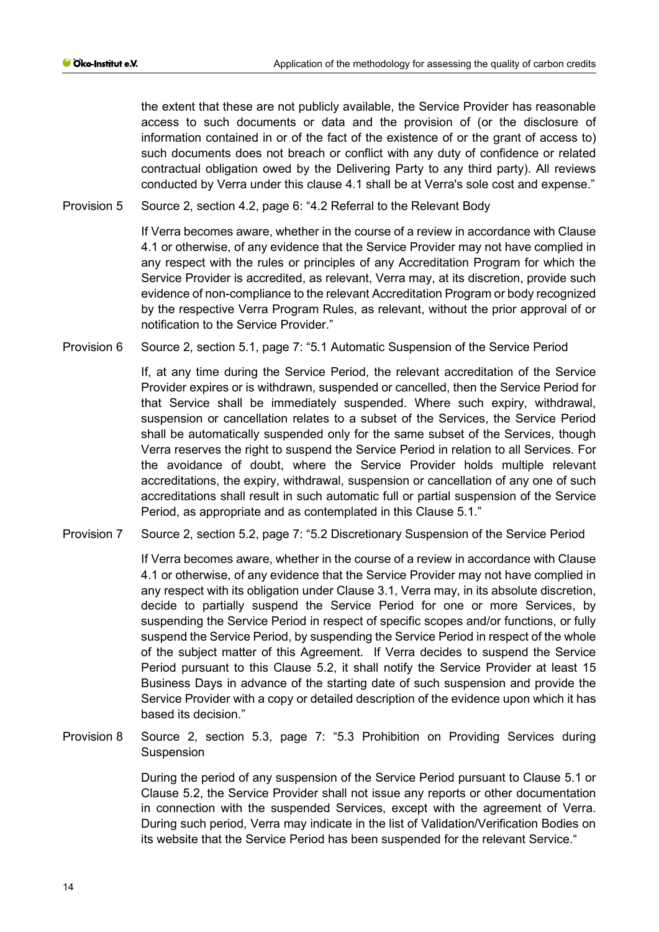the extent that these are not publicly available, the Service Provider has reasonable access to such documents or data and the provision of (or the disclosure of information contained in or of the fact of the existence of or the grant of access to) such documents does not breach or conflict with any duty of confidence or related contractual obligation owed by the Delivering Party to any third party). All reviews conducted by Verra under this clause 4.1 shall be at Verra's sole cost and expense."

Provision 5 Source 2, section 4.2, page 6: "4.2 Referral to the Relevant Body

If Verra becomes aware, whether in the course of a review in accordance with Clause [4.1](#page-12-0) or otherwise, of any evidence that the Service Provider may not have complied in any respect with the rules or principles of any Accreditation Program for which the Service Provider is accredited, as relevant, Verra may, at its discretion, provide such evidence of non-compliance to the relevant Accreditation Program or body recognized by the respective Verra Program Rules, as relevant, without the prior approval of or notification to the Service Provider."

Provision 6 Source 2, section 5.1, page 7: "5.1 Automatic Suspension of the Service Period

<span id="page-13-0"></span>If, at any time during the Service Period, the relevant accreditation of the Service Provider expires or is withdrawn, suspended or cancelled, then the Service Period for that Service shall be immediately suspended. Where such expiry, withdrawal, suspension or cancellation relates to a subset of the Services, the Service Period shall be automatically suspended only for the same subset of the Services, though Verra reserves the right to suspend the Service Period in relation to all Services. For the avoidance of doubt, where the Service Provider holds multiple relevant accreditations, the expiry, withdrawal, suspension or cancellation of any one of such accreditations shall result in such automatic full or partial suspension of the Service Period, as appropriate and as contemplated in this Clause [5.1.](#page-13-0)"

Provision 7 Source 2, section 5.2, page 7: "5.2 Discretionary Suspension of the Service Period

<span id="page-13-1"></span>If Verra becomes aware, whether in the course of a review in accordance with Clause [4.1](#page-12-0) or otherwise, of any evidence that the Service Provider may not have complied in any respect with its obligation under Clause 3.1, Verra may, in its absolute discretion, decide to partially suspend the Service Period for one or more Services, by suspending the Service Period in respect of specific scopes and/or functions, or fully suspend the Service Period, by suspending the Service Period in respect of the whole of the subject matter of this Agreement. If Verra decides to suspend the Service Period pursuant to this Clause [5.2,](#page-13-1) it shall notify the Service Provider at least 15 Business Days in advance of the starting date of such suspension and provide the Service Provider with a copy or detailed description of the evidence upon which it has based its decision."

Provision 8 Source 2, section 5.3, page 7: "5.3 Prohibition on Providing Services during **Suspension** 

> During the period of any suspension of the Service Period pursuant to Clause [5.1](#page-13-0) or Clause [5.2,](#page-13-1) the Service Provider shall not issue any reports or other documentation in connection with the suspended Services, except with the agreement of Verra. During such period, Verra may indicate in the list of Validation/Verification Bodies on its website that the Service Period has been suspended for the relevant Service."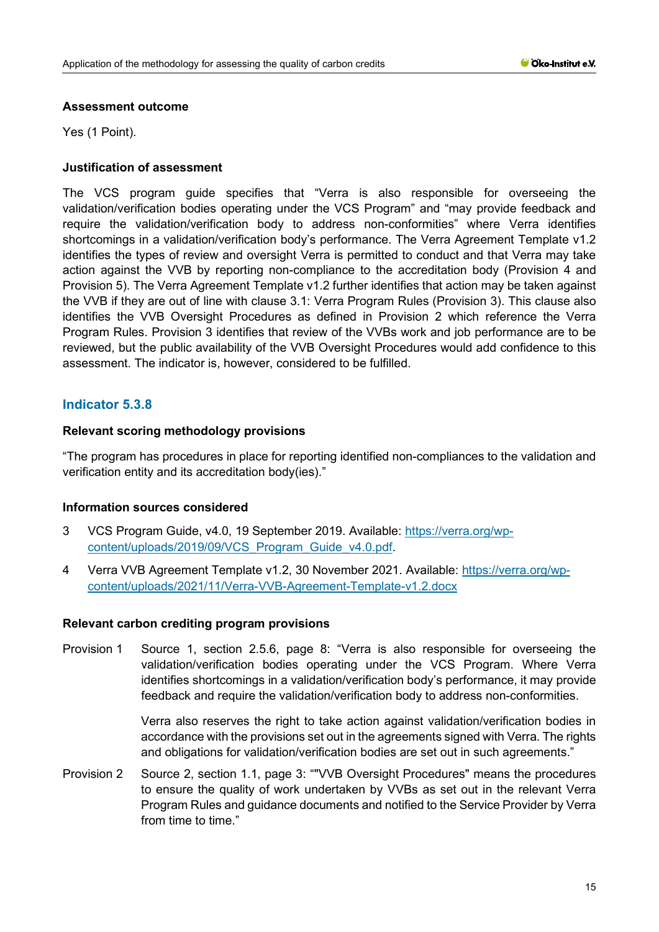#### **Assessment outcome**

Yes (1 Point).

## **Justification of assessment**

The VCS program guide specifies that "Verra is also responsible for overseeing the validation/verification bodies operating under the VCS Program" and "may provide feedback and require the validation/verification body to address non-conformities" where Verra identifies shortcomings in a validation/verification body's performance. The Verra Agreement Template v1.2 identifies the types of review and oversight Verra is permitted to conduct and that Verra may take action against the VVB by reporting non-compliance to the accreditation body (Provision 4 and Provision 5). The Verra Agreement Template v1.2 further identifies that action may be taken against the VVB if they are out of line with clause 3.1: Verra Program Rules (Provision 3). This clause also identifies the VVB Oversight Procedures as defined in Provision 2 which reference the Verra Program Rules. Provision 3 identifies that review of the VVBs work and job performance are to be reviewed, but the public availability of the VVB Oversight Procedures would add confidence to this assessment. The indicator is, however, considered to be fulfilled.

# **Indicator 5.3.8**

## **Relevant scoring methodology provisions**

"The program has procedures in place for reporting identified non-compliances to the validation and verification entity and its accreditation body(ies)."

## **Information sources considered**

- 3 VCS Program Guide, v4.0, 19 September 2019. Available: [https://verra.org/wp](https://verra.org/wp-content/uploads/2019/09/VCS_Program_Guide_v4.0.pdf)[content/uploads/2019/09/VCS\\_Program\\_Guide\\_v4.0.pdf.](https://verra.org/wp-content/uploads/2019/09/VCS_Program_Guide_v4.0.pdf)
- 4 Verra VVB Agreement Template v1.2, 30 November 2021. Available: [https://verra.org/wp](https://verra.org/wp-content/uploads/2021/11/Verra-VVB-Agreement-Template-v1.2.docx)[content/uploads/2021/11/Verra-VVB-Agreement-Template-v1.2.docx](https://verra.org/wp-content/uploads/2021/11/Verra-VVB-Agreement-Template-v1.2.docx)

## **Relevant carbon crediting program provisions**

Provision 1 Source 1, section 2.5.6, page 8: "Verra is also responsible for overseeing the validation/verification bodies operating under the VCS Program. Where Verra identifies shortcomings in a validation/verification body's performance, it may provide feedback and require the validation/verification body to address non-conformities.

> Verra also reserves the right to take action against validation/verification bodies in accordance with the provisions set out in the agreements signed with Verra. The rights and obligations for validation/verification bodies are set out in such agreements."

Provision 2 Source 2, section 1.1, page 3: ""VVB Oversight Procedures" means the procedures to ensure the quality of work undertaken by VVBs as set out in the relevant Verra Program Rules and guidance documents and notified to the Service Provider by Verra from time to time."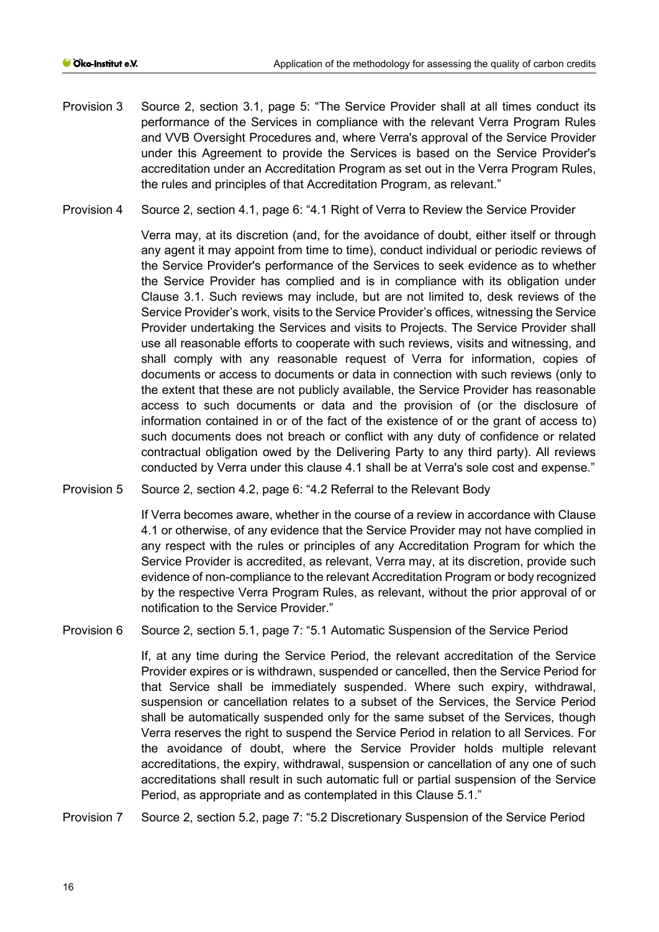- Provision 3 Source 2, section 3.1, page 5: "The Service Provider shall at all times conduct its performance of the Services in compliance with the relevant Verra Program Rules and VVB Oversight Procedures and, where Verra's approval of the Service Provider under this Agreement to provide the Services is based on the Service Provider's accreditation under an Accreditation Program as set out in the Verra Program Rules, the rules and principles of that Accreditation Program, as relevant."
- Provision 4 Source 2, section 4.1, page 6: "4.1 Right of Verra to Review the Service Provider

Verra may, at its discretion (and, for the avoidance of doubt, either itself or through any agent it may appoint from time to time), conduct individual or periodic reviews of the Service Provider's performance of the Services to seek evidence as to whether the Service Provider has complied and is in compliance with its obligation under Clause 3.1. Such reviews may include, but are not limited to, desk reviews of the Service Provider's work, visits to the Service Provider's offices, witnessing the Service Provider undertaking the Services and visits to Projects. The Service Provider shall use all reasonable efforts to cooperate with such reviews, visits and witnessing, and shall comply with any reasonable request of Verra for information, copies of documents or access to documents or data in connection with such reviews (only to the extent that these are not publicly available, the Service Provider has reasonable access to such documents or data and the provision of (or the disclosure of information contained in or of the fact of the existence of or the grant of access to) such documents does not breach or conflict with any duty of confidence or related contractual obligation owed by the Delivering Party to any third party). All reviews conducted by Verra under this clause 4.1 shall be at Verra's sole cost and expense."

Provision 5 Source 2, section 4.2, page 6: "4.2 Referral to the Relevant Body

If Verra becomes aware, whether in the course of a review in accordance with Clause [4.1](#page-12-0) or otherwise, of any evidence that the Service Provider may not have complied in any respect with the rules or principles of any Accreditation Program for which the Service Provider is accredited, as relevant, Verra may, at its discretion, provide such evidence of non-compliance to the relevant Accreditation Program or body recognized by the respective Verra Program Rules, as relevant, without the prior approval of or notification to the Service Provider."

Provision 6 Source 2, section 5.1, page 7: "5.1 Automatic Suspension of the Service Period

If, at any time during the Service Period, the relevant accreditation of the Service Provider expires or is withdrawn, suspended or cancelled, then the Service Period for that Service shall be immediately suspended. Where such expiry, withdrawal, suspension or cancellation relates to a subset of the Services, the Service Period shall be automatically suspended only for the same subset of the Services, though Verra reserves the right to suspend the Service Period in relation to all Services. For the avoidance of doubt, where the Service Provider holds multiple relevant accreditations, the expiry, withdrawal, suspension or cancellation of any one of such accreditations shall result in such automatic full or partial suspension of the Service Period, as appropriate and as contemplated in this Clause [5.1.](#page-13-0)"

Provision 7 Source 2, section 5.2, page 7: "5.2 Discretionary Suspension of the Service Period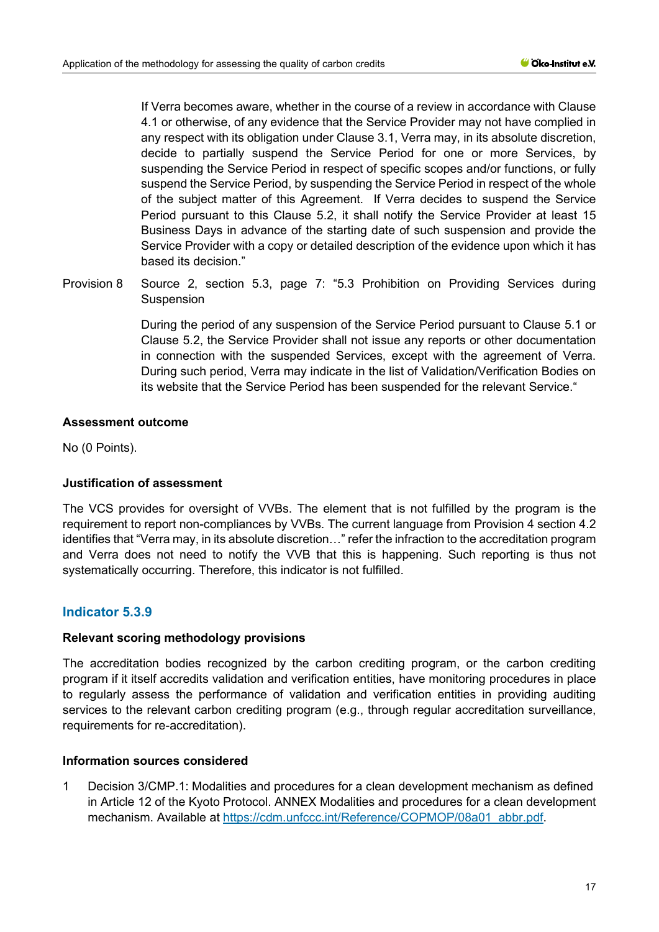If Verra becomes aware, whether in the course of a review in accordance with Clause [4.1](#page-12-0) or otherwise, of any evidence that the Service Provider may not have complied in any respect with its obligation under Clause 3.1, Verra may, in its absolute discretion, decide to partially suspend the Service Period for one or more Services, by suspending the Service Period in respect of specific scopes and/or functions, or fully suspend the Service Period, by suspending the Service Period in respect of the whole of the subject matter of this Agreement. If Verra decides to suspend the Service Period pursuant to this Clause [5.2,](#page-13-1) it shall notify the Service Provider at least 15 Business Days in advance of the starting date of such suspension and provide the Service Provider with a copy or detailed description of the evidence upon which it has based its decision."

Provision 8 Source 2, section 5.3, page 7: "5.3 Prohibition on Providing Services during Suspension

> During the period of any suspension of the Service Period pursuant to Clause [5.1](#page-13-0) or Clause [5.2,](#page-13-1) the Service Provider shall not issue any reports or other documentation in connection with the suspended Services, except with the agreement of Verra. During such period, Verra may indicate in the list of Validation/Verification Bodies on its website that the Service Period has been suspended for the relevant Service."

#### **Assessment outcome**

No (0 Points).

## **Justification of assessment**

The VCS provides for oversight of VVBs. The element that is not fulfilled by the program is the requirement to report non-compliances by VVBs. The current language from Provision 4 section 4.2 identifies that "Verra may, in its absolute discretion…" refer the infraction to the accreditation program and Verra does not need to notify the VVB that this is happening. Such reporting is thus not systematically occurring. Therefore, this indicator is not fulfilled.

## **Indicator 5.3.9**

#### **Relevant scoring methodology provisions**

The accreditation bodies recognized by the carbon crediting program, or the carbon crediting program if it itself accredits validation and verification entities, have monitoring procedures in place to regularly assess the performance of validation and verification entities in providing auditing services to the relevant carbon crediting program (e.g., through regular accreditation surveillance, requirements for re-accreditation).

## **Information sources considered**

1 Decision 3/CMP.1: Modalities and procedures for a clean development mechanism as defined in Article 12 of the Kyoto Protocol. ANNEX Modalities and procedures for a clean development mechanism. Available at [https://cdm.unfccc.int/Reference/COPMOP/08a01\\_abbr.pdf.](https://cdm.unfccc.int/Reference/COPMOP/08a01_abbr.pdf)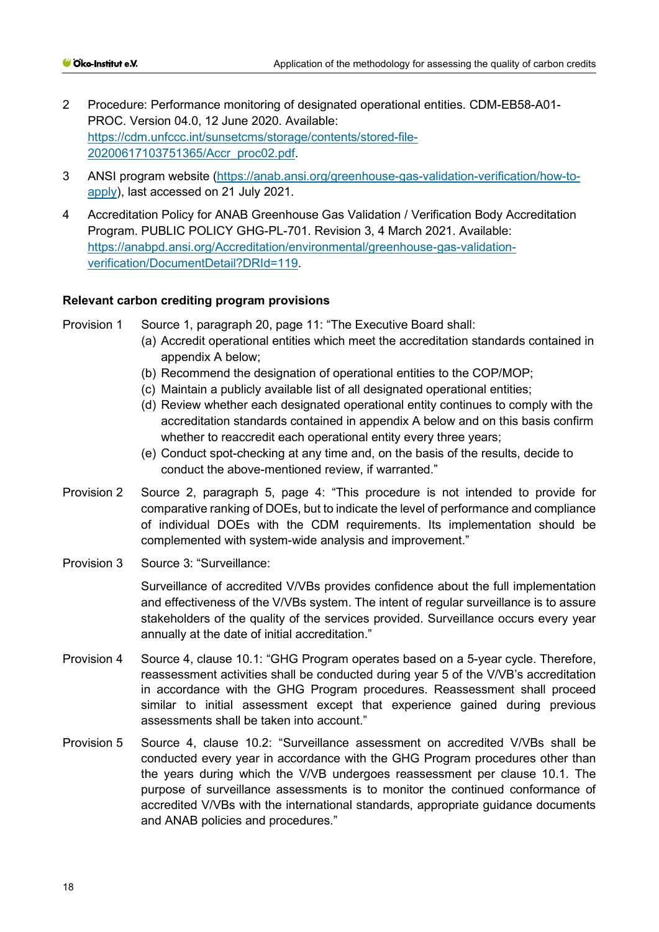- 2 Procedure: Performance monitoring of designated operational entities. CDM-EB58-A01- PROC. Version 04.0, 12 June 2020. Available: [https://cdm.unfccc.int/sunsetcms/storage/contents/stored-file-](https://cdm.unfccc.int/sunsetcms/storage/contents/stored-file-20200617103751365/Accr_proc02.pdf)[20200617103751365/Accr\\_proc02.pdf.](https://cdm.unfccc.int/sunsetcms/storage/contents/stored-file-20200617103751365/Accr_proc02.pdf)
- 3 ANSI program website [\(https://anab.ansi.org/greenhouse-gas-validation-verification/how-to](https://anab.ansi.org/greenhouse-gas-validation-verification/how-to-apply)[apply\)](https://anab.ansi.org/greenhouse-gas-validation-verification/how-to-apply), last accessed on 21 July 2021.
- 4 Accreditation Policy for ANAB Greenhouse Gas Validation / Verification Body Accreditation Program. PUBLIC POLICY GHG-PL-701. Revision 3, 4 March 2021. Available: [https://anabpd.ansi.org/Accreditation/environmental/greenhouse-gas-validation](https://anabpd.ansi.org/Accreditation/environmental/greenhouse-gas-validation-verification/DocumentDetail?DRId=119)[verification/DocumentDetail?DRId=119.](https://anabpd.ansi.org/Accreditation/environmental/greenhouse-gas-validation-verification/DocumentDetail?DRId=119)

## **Relevant carbon crediting program provisions**

Provision 1 Source 1, paragraph 20, page 11: "The Executive Board shall:

- (a) Accredit operational entities which meet the accreditation standards contained in appendix A below;
- (b) Recommend the designation of operational entities to the COP/MOP;
- (c) Maintain a publicly available list of all designated operational entities;
- (d) Review whether each designated operational entity continues to comply with the accreditation standards contained in appendix A below and on this basis confirm whether to reaccredit each operational entity every three years;
- (e) Conduct spot-checking at any time and, on the basis of the results, decide to conduct the above-mentioned review, if warranted."
- Provision 2 Source 2, paragraph 5, page 4: "This procedure is not intended to provide for comparative ranking of DOEs, but to indicate the level of performance and compliance of individual DOEs with the CDM requirements. Its implementation should be complemented with system-wide analysis and improvement."
- Provision 3 Source 3: "Surveillance:

Surveillance of accredited V/VBs provides confidence about the full implementation and effectiveness of the V/VBs system. The intent of regular surveillance is to assure stakeholders of the quality of the services provided. Surveillance occurs every year annually at the date of initial accreditation."

- Provision 4 Source 4, clause 10.1: "GHG Program operates based on a 5-year cycle. Therefore, reassessment activities shall be conducted during year 5 of the V/VB's accreditation in accordance with the GHG Program procedures. Reassessment shall proceed similar to initial assessment except that experience gained during previous assessments shall be taken into account."
- Provision 5 Source 4, clause 10.2: "Surveillance assessment on accredited V/VBs shall be conducted every year in accordance with the GHG Program procedures other than the years during which the V/VB undergoes reassessment per clause 10.1. The purpose of surveillance assessments is to monitor the continued conformance of accredited V/VBs with the international standards, appropriate guidance documents and ANAB policies and procedures."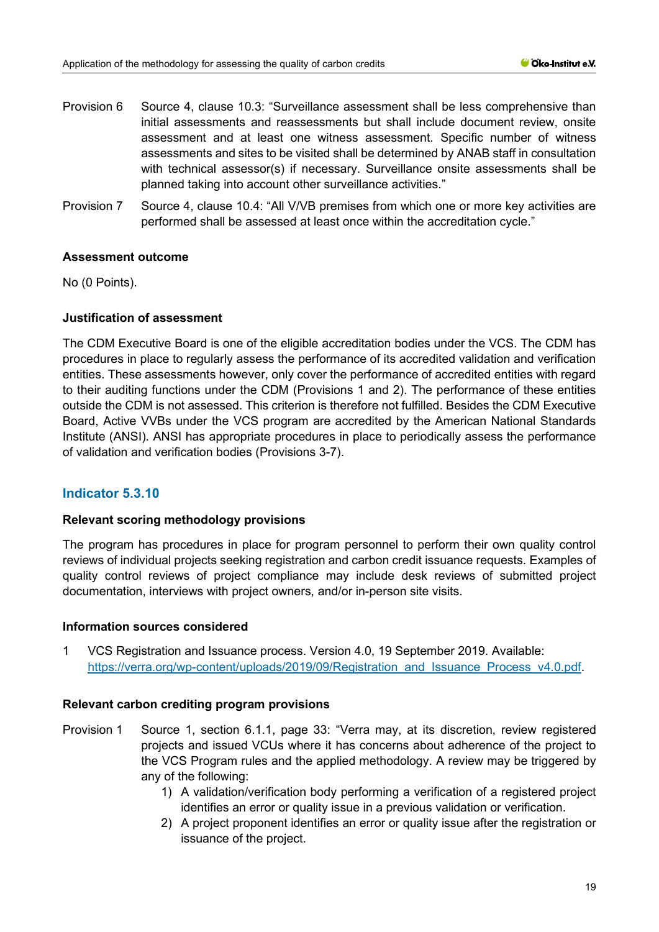- Provision 6 Source 4, clause 10.3: "Surveillance assessment shall be less comprehensive than initial assessments and reassessments but shall include document review, onsite assessment and at least one witness assessment. Specific number of witness assessments and sites to be visited shall be determined by ANAB staff in consultation with technical assessor(s) if necessary. Surveillance onsite assessments shall be planned taking into account other surveillance activities."
- Provision 7 Source 4, clause 10.4: "All V/VB premises from which one or more key activities are performed shall be assessed at least once within the accreditation cycle."

## **Assessment outcome**

No (0 Points).

#### **Justification of assessment**

The CDM Executive Board is one of the eligible accreditation bodies under the VCS. The CDM has procedures in place to regularly assess the performance of its accredited validation and verification entities. These assessments however, only cover the performance of accredited entities with regard to their auditing functions under the CDM (Provisions 1 and 2). The performance of these entities outside the CDM is not assessed. This criterion is therefore not fulfilled. Besides the CDM Executive Board, Active VVBs under the VCS program are accredited by the American National Standards Institute (ANSI). ANSI has appropriate procedures in place to periodically assess the performance of validation and verification bodies (Provisions 3-7).

## **Indicator 5.3.10**

#### **Relevant scoring methodology provisions**

The program has procedures in place for program personnel to perform their own quality control reviews of individual projects seeking registration and carbon credit issuance requests. Examples of quality control reviews of project compliance may include desk reviews of submitted project documentation, interviews with project owners, and/or in-person site visits.

#### **Information sources considered**

1 VCS Registration and Issuance process. Version 4.0, 19 September 2019. Available: https://verra.org/wp-content/uploads/2019/09/Registration\_and\_Issuance\_Process\_v4.0.pdf.

#### **Relevant carbon crediting program provisions**

- Provision 1 Source 1, section 6.1.1, page 33: "Verra may, at its discretion, review registered projects and issued VCUs where it has concerns about adherence of the project to the VCS Program rules and the applied methodology. A review may be triggered by any of the following:
	- 1) A validation/verification body performing a verification of a registered project identifies an error or quality issue in a previous validation or verification.
	- 2) A project proponent identifies an error or quality issue after the registration or issuance of the project.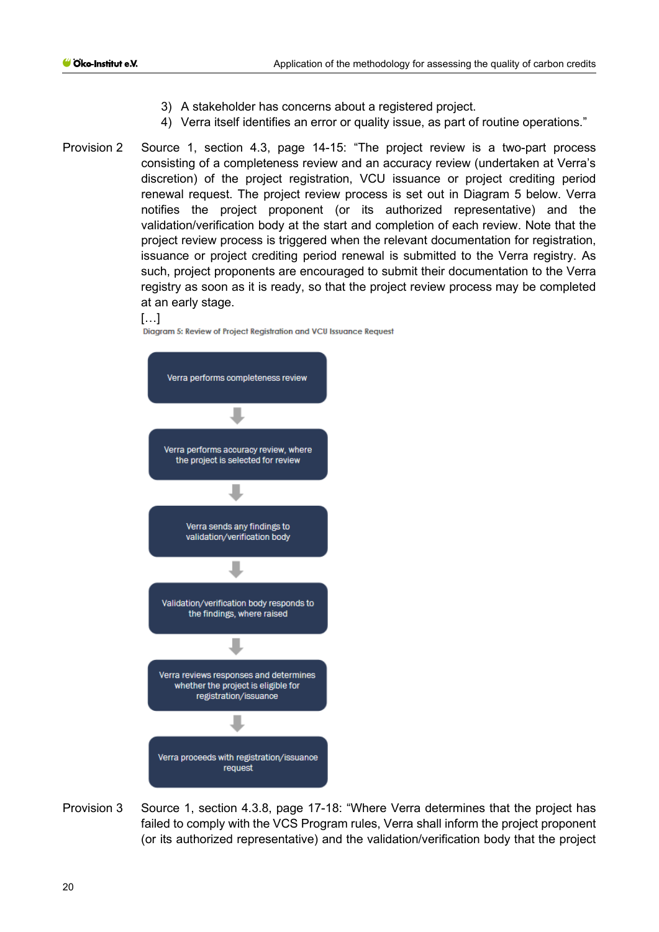- 3) A stakeholder has concerns about a registered project.
- 4) Verra itself identifies an error or quality issue, as part of routine operations."
- Provision 2 Source 1, section 4.3, page 14-15: "The project review is a two-part process consisting of a completeness review and an accuracy review (undertaken at Verra's discretion) of the project registration, VCU issuance or project crediting period renewal request. The project review process is set out in Diagram 5 below. Verra notifies the project proponent (or its authorized representative) and the validation/verification body at the start and completion of each review. Note that the project review process is triggered when the relevant documentation for registration, issuance or project crediting period renewal is submitted to the Verra registry. As such, project proponents are encouraged to submit their documentation to the Verra registry as soon as it is ready, so that the project review process may be completed at an early stage.

#### […]

Diagram 5: Review of Project Registration and VCU Issuance Request



Provision 3 Source 1, section 4.3.8, page 17-18: "Where Verra determines that the project has failed to comply with the VCS Program rules, Verra shall inform the project proponent (or its authorized representative) and the validation/verification body that the project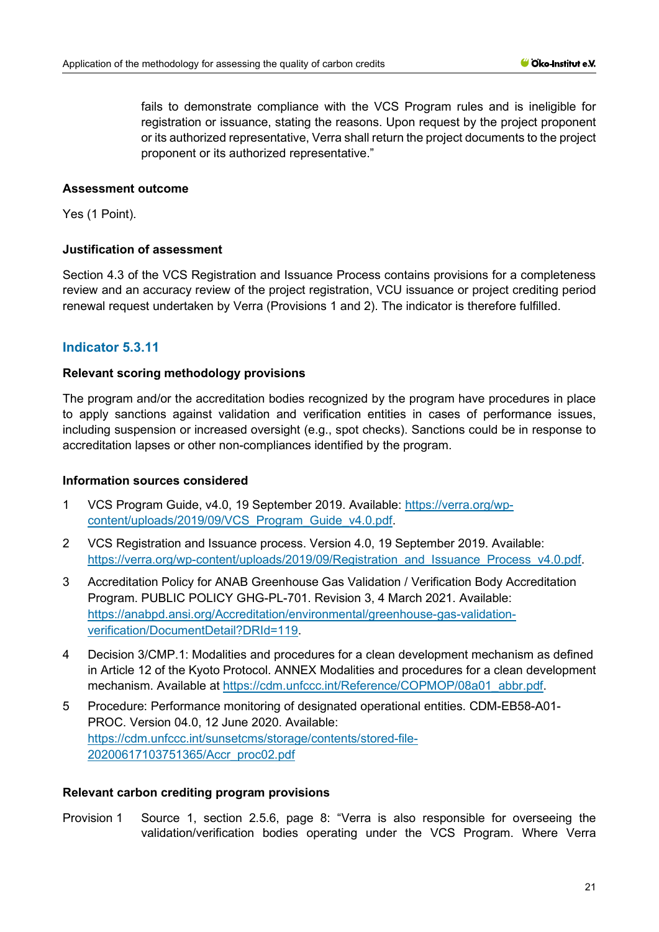fails to demonstrate compliance with the VCS Program rules and is ineligible for registration or issuance, stating the reasons. Upon request by the project proponent or its authorized representative, Verra shall return the project documents to the project proponent or its authorized representative."

## **Assessment outcome**

Yes (1 Point).

## **Justification of assessment**

Section 4.3 of the VCS Registration and Issuance Process contains provisions for a completeness review and an accuracy review of the project registration, VCU issuance or project crediting period renewal request undertaken by Verra (Provisions 1 and 2). The indicator is therefore fulfilled.

# **Indicator 5.3.11**

## **Relevant scoring methodology provisions**

The program and/or the accreditation bodies recognized by the program have procedures in place to apply sanctions against validation and verification entities in cases of performance issues, including suspension or increased oversight (e.g., spot checks). Sanctions could be in response to accreditation lapses or other non-compliances identified by the program.

## **Information sources considered**

- 1 VCS Program Guide, v4.0, 19 September 2019. Available: [https://verra.org/wp](https://verra.org/wp-content/uploads/2019/09/VCS_Program_Guide_v4.0.pdf)[content/uploads/2019/09/VCS\\_Program\\_Guide\\_v4.0.pdf.](https://verra.org/wp-content/uploads/2019/09/VCS_Program_Guide_v4.0.pdf)
- 2 VCS Registration and Issuance process. Version 4.0, 19 September 2019. Available: https://verra.org/wp-content/uploads/2019/09/Registration\_and\_Issuance\_Process\_v4.0.pdf.
- 3 Accreditation Policy for ANAB Greenhouse Gas Validation / Verification Body Accreditation Program. PUBLIC POLICY GHG-PL-701. Revision 3, 4 March 2021. Available: [https://anabpd.ansi.org/Accreditation/environmental/greenhouse-gas-validation](https://anabpd.ansi.org/Accreditation/environmental/greenhouse-gas-validation-verification/DocumentDetail?DRId=119)[verification/DocumentDetail?DRId=119.](https://anabpd.ansi.org/Accreditation/environmental/greenhouse-gas-validation-verification/DocumentDetail?DRId=119)
- 4 Decision 3/CMP.1: Modalities and procedures for a clean development mechanism as defined in Article 12 of the Kyoto Protocol. ANNEX Modalities and procedures for a clean development mechanism. Available at [https://cdm.unfccc.int/Reference/COPMOP/08a01\\_abbr.pdf.](https://cdm.unfccc.int/Reference/COPMOP/08a01_abbr.pdf)
- 5 Procedure: Performance monitoring of designated operational entities. CDM-EB58-A01- PROC. Version 04.0, 12 June 2020. Available: [https://cdm.unfccc.int/sunsetcms/storage/contents/stored-file-](https://cdm.unfccc.int/sunsetcms/storage/contents/stored-file-20200617103751365/Accr_proc02.pdf)[20200617103751365/Accr\\_proc02.pdf](https://cdm.unfccc.int/sunsetcms/storage/contents/stored-file-20200617103751365/Accr_proc02.pdf)

## **Relevant carbon crediting program provisions**

Provision 1 Source 1, section 2.5.6, page 8: "Verra is also responsible for overseeing the validation/verification bodies operating under the VCS Program. Where Verra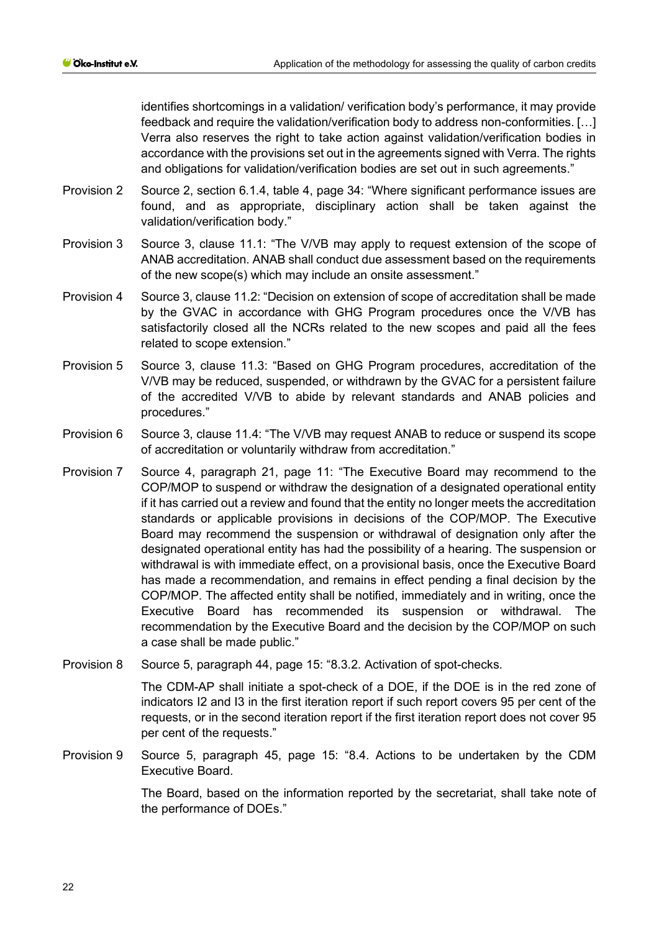identifies shortcomings in a validation/ verification body's performance, it may provide feedback and require the validation/verification body to address non-conformities. […] Verra also reserves the right to take action against validation/verification bodies in accordance with the provisions set out in the agreements signed with Verra. The rights and obligations for validation/verification bodies are set out in such agreements."

- Provision 2 Source 2, section 6.1.4, table 4, page 34: "Where significant performance issues are found, and as appropriate, disciplinary action shall be taken against the validation/verification body."
- Provision 3 Source 3, clause 11.1: "The V/VB may apply to request extension of the scope of ANAB accreditation. ANAB shall conduct due assessment based on the requirements of the new scope(s) which may include an onsite assessment."
- Provision 4 Source 3, clause 11.2: "Decision on extension of scope of accreditation shall be made by the GVAC in accordance with GHG Program procedures once the V/VB has satisfactorily closed all the NCRs related to the new scopes and paid all the fees related to scope extension."
- Provision 5 Source 3, clause 11.3: "Based on GHG Program procedures, accreditation of the V/VB may be reduced, suspended, or withdrawn by the GVAC for a persistent failure of the accredited V/VB to abide by relevant standards and ANAB policies and procedures."
- Provision 6 Source 3, clause 11.4: "The V/VB may request ANAB to reduce or suspend its scope of accreditation or voluntarily withdraw from accreditation."
- Provision 7 Source 4, paragraph 21, page 11: "The Executive Board may recommend to the COP/MOP to suspend or withdraw the designation of a designated operational entity if it has carried out a review and found that the entity no longer meets the accreditation standards or applicable provisions in decisions of the COP/MOP. The Executive Board may recommend the suspension or withdrawal of designation only after the designated operational entity has had the possibility of a hearing. The suspension or withdrawal is with immediate effect, on a provisional basis, once the Executive Board has made a recommendation, and remains in effect pending a final decision by the COP/MOP. The affected entity shall be notified, immediately and in writing, once the Executive Board has recommended its suspension or withdrawal. The recommendation by the Executive Board and the decision by the COP/MOP on such a case shall be made public."
- Provision 8 Source 5, paragraph 44, page 15: "8.3.2. Activation of spot-checks.

The CDM-AP shall initiate a spot-check of a DOE, if the DOE is in the red zone of indicators I2 and I3 in the first iteration report if such report covers 95 per cent of the requests, or in the second iteration report if the first iteration report does not cover 95 per cent of the requests."

Provision 9 Source 5, paragraph 45, page 15: "8.4. Actions to be undertaken by the CDM Executive Board.

> The Board, based on the information reported by the secretariat, shall take note of the performance of DOEs."